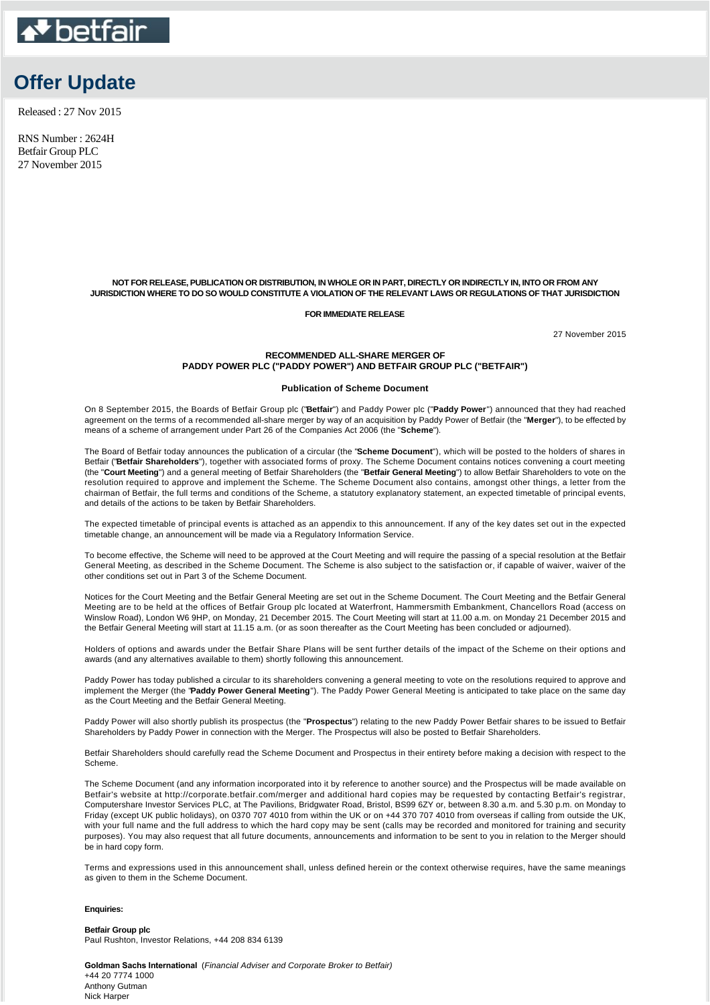

# **Offer Update**

Released : 27 Nov 2015

RNS Number : 2624H Betfair Group PLC 27 November 2015

## **NOT FOR RELEASE, PUBLICATION OR DISTRIBUTION, IN WHOLE OR IN PART, DIRECTLY OR INDIRECTLY IN, INTO OR FROM ANY JURISDICTION WHERE TO DO SO WOULD CONSTITUTE A VIOLATION OF THE RELEVANT LAWS OR REGULATIONS OF THAT JURISDICTION**

### **FOR IMMEDIATE RELEASE**

27 November 2015

## **RECOMMENDED ALL-SHARE MERGER OF PADDY POWER PLC ("PADDY POWER") AND BETFAIR GROUP PLC ("BETFAIR")**

## **Publication of Scheme Document**

On 8 September 2015, the Boards of Betfair Group plc ("**Betfair**") and Paddy Power plc ("**Paddy Power**") announced that they had reached agreement on the terms of a recommended all-share merger by way of an acquisition by Paddy Power of Betfair (the "**Merger**"), to be effected by means of a scheme of arrangement under Part 26 of the Companies Act 2006 (the "**Scheme**").

The Board of Betfair today announces the publication of a circular (the "**Scheme Document**"), which will be posted to the holders of shares in Betfair ("**Betfair Shareholders**"), together with associated forms of proxy. The Scheme Document contains notices convening a court meeting (the "**Court Meeting**") and a general meeting of Betfair Shareholders (the "**Betfair General Meeting**") to allow Betfair Shareholders to vote on the resolution required to approve and implement the Scheme. The Scheme Document also contains, amongst other things, a letter from the chairman of Betfair, the full terms and conditions of the Scheme, a statutory explanatory statement, an expected timetable of principal events, and details of the actions to be taken by Betfair Shareholders.

The expected timetable of principal events is attached as an appendix to this announcement. If any of the key dates set out in the expected timetable change, an announcement will be made via a Regulatory Information Service.

To become effective, the Scheme will need to be approved at the Court Meeting and will require the passing of a special resolution at the Betfair General Meeting, as described in the Scheme Document. The Scheme is also subject to the satisfaction or, if capable of waiver, waiver of the other conditions set out in Part 3 of the Scheme Document.

Notices for the Court Meeting and the Betfair General Meeting are set out in the Scheme Document. The Court Meeting and the Betfair General Meeting are to be held at the offices of Betfair Group plc located at Waterfront, Hammersmith Embankment, Chancellors Road (access on Winslow Road), London W6 9HP, on Monday, 21 December 2015. The Court Meeting will start at 11.00 a.m. on Monday 21 December 2015 and the Betfair General Meeting will start at 11.15 a.m. (or as soon thereafter as the Court Meeting has been concluded or adjourned).

Holders of options and awards under the Betfair Share Plans will be sent further details of the impact of the Scheme on their options and awards (and any alternatives available to them) shortly following this announcement.

Paddy Power has today published a circular to its shareholders convening a general meeting to vote on the resolutions required to approve and implement the Merger (the "**Paddy Power General Meeting**"). The Paddy Power General Meeting is anticipated to take place on the same day as the Court Meeting and the Betfair General Meeting.

Paddy Power will also shortly publish its prospectus (the "**Prospectus**") relating to the new Paddy Power Betfair shares to be issued to Betfair Shareholders by Paddy Power in connection with the Merger. The Prospectus will also be posted to Betfair Shareholders.

Betfair Shareholders should carefully read the Scheme Document and Prospectus in their entirety before making a decision with respect to the Scheme.

The Scheme Document (and any information incorporated into it by reference to another source) and the Prospectus will be made available on Betfair's website at http://corporate.betfair.com/merger and additional hard copies may be requested by contacting Betfair's registrar, Computershare Investor Services PLC, at The Pavilions, Bridgwater Road, Bristol, BS99 6ZY or, between 8.30 a.m. and 5.30 p.m. on Monday to Friday (except UK public holidays), on 0370 707 4010 from within the UK or on +44 370 707 4010 from overseas if calling from outside the UK, with your full name and the full address to which the hard copy may be sent (calls may be recorded and monitored for training and security purposes). You may also request that all future documents, announcements and information to be sent to you in relation to the Merger should be in hard copy form.

Terms and expressions used in this announcement shall, unless defined herein or the context otherwise requires, have the same meanings as given to them in the Scheme Document.

#### **Enquiries:**

**Betfair Group plc** Paul Rushton, Investor Relations, +44 208 834 6139

**Goldman Sachs International** (*Financial Adviser and Corporate Broker to Betfair)* +44 20 7774 1000 Anthony Gutman Nick Harper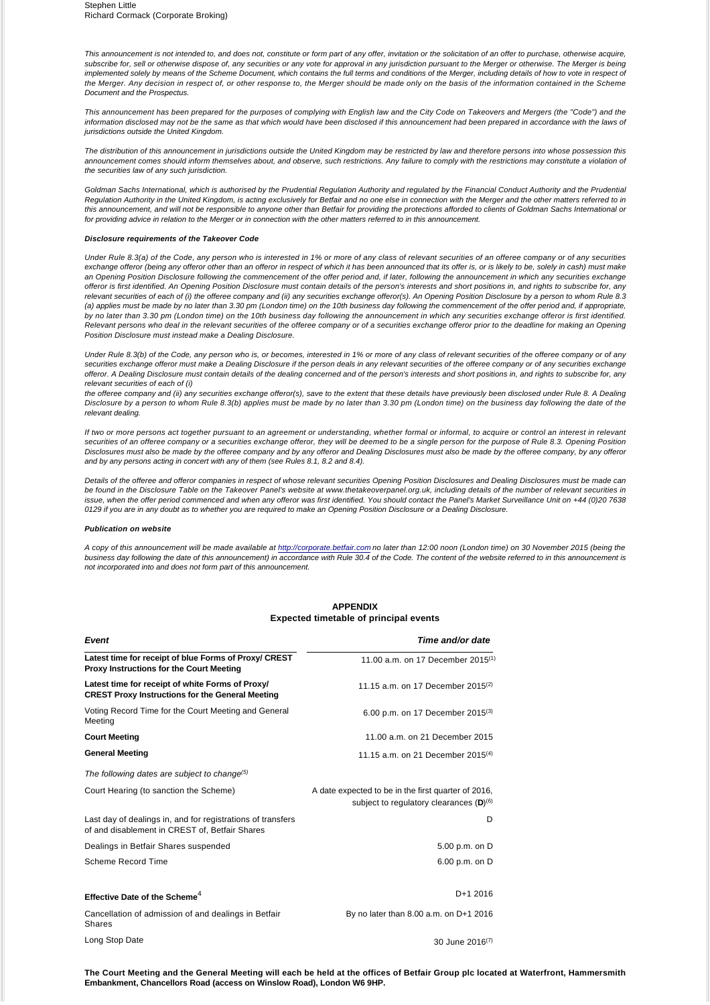*This announcement is not intended to, and does not, constitute or form part of any offer, invitation or the solicitation of an offer to purchase, otherwise acquire, subscribe for, sell or otherwise dispose of, any securities or any vote for approval in any jurisdiction pursuant to the Merger or otherwise. The Merger is being implemented solely by means of the Scheme Document, which contains the full terms and conditions of the Merger, including details of how to vote in respect of the Merger. Any decision in respect of, or other response to, the Merger should be made only on the basis of the information contained in the Scheme Document and the Prospectus.*

This announcement has been prepared for the purposes of complying with English law and the City Code on Takeovers and Mergers (the "Code") and the information disclosed may not be the same as that which would have been disclosed if this announcement had been prepared in accordance with the laws of *jurisdictions outside the United Kingdom.*

The distribution of this announcement in jurisdictions outside the United Kingdom may be restricted by law and therefore persons into whose possession this *announcement comes should inform themselves about, and observe, such restrictions. Any failure to comply with the restrictions may constitute a violation of the securities law of any such jurisdiction.*

*Goldman Sachs International, which is authorised by the Prudential Regulation Authority and regulated by the Financial Conduct Authority and the Prudential Regulation Authority in the United Kingdom, is acting exclusively for Betfair and no one else in connection with the Merger and the other matters referred to in this announcement, and will not be responsible to anyone other than Betfair for providing the protections afforded to clients of Goldman Sachs International or for providing advice in relation to the Merger or in connection with the other matters referred to in this announcement.*

## *Disclosure requirements of the Takeover Code*

*Under Rule 8.3(a) of the Code, any person who is interested in 1% or more of any class of relevant securities of an offeree company or of any securities*  exchange offeror (being any offeror other than an offeror in respect of which it has been announced that its offer is, or is likely to be, solely in cash) must make an Opening Position Disclosure following the commencement of the offer period and, if later, following the announcement in which any securities exchange *offeror is first identified. An Opening Position Disclosure must contain details of the person's interests and short positions in, and rights to subscribe for, any relevant securities of each of (i) the offeree company and (ii) any securities exchange offeror(s). An Opening Position Disclosure by a person to whom Rule 8.3 (a) applies must be made by no later than 3.30 pm (London time) on the 10th business day following the commencement of the offer period and, if appropriate, by no later than 3.30 pm (London time) on the 10th business day following the announcement in which any securities exchange offeror is first identified. Relevant persons who deal in the relevant securities of the offeree company or of a securities exchange offeror prior to the deadline for making an Opening Position Disclosure must instead make a Dealing Disclosure.* 

*Under Rule 8.3(b) of the Code, any person who is, or becomes, interested in 1% or more of any class of relevant securities of the offeree company or of any*  securities exchange offeror must make a Dealing Disclosure if the person deals in any relevant securities of the offeree company or of any securities exchange *offeror. A Dealing Disclosure must contain details of the dealing concerned and of the person's interests and short positions in, and rights to subscribe for, any relevant securities of each of (i)*

*the offeree company and (ii) any securities exchange offeror(s), save to the extent that these details have previously been disclosed under Rule 8. A Dealing Disclosure by a person to whom Rule 8.3(b) applies must be made by no later than 3.30 pm (London time) on the business day following the date of the relevant dealing.*

*If two or more persons act together pursuant to an agreement or understanding, whether formal or informal, to acquire or control an interest in relevant*  securities of an offeree company or a securities exchange offeror, they will be deemed to be a single person for the purpose of Rule 8.3. Opening Position *Disclosures must also be made by the offeree company and by any offeror and Dealing Disclosures must also be made by the offeree company, by any offeror and by any persons acting in concert with any of them (see Rules 8.1, 8.2 and 8.4).*

*Details of the offeree and offeror companies in respect of whose relevant securities Opening Position Disclosures and Dealing Disclosures must be made can be found in the Disclosure Table on the Takeover Panel's website at www.thetakeoverpanel.org.uk, including details of the number of relevant securities in issue, when the offer period commenced and when any offeror was first identified. You should contact the Panel's Market Surveillance Unit on +44 (0)20 7638 0129 if you are in any doubt as to whether you are required to make an Opening Position Disclosure or a Dealing Disclosure.*

#### *Publication on website*

*A copy of this announcement will be made available at [http://corporate.betfair.com](http://corporate.betfair.com/) no later than 12:00 noon (London time) on 30 November 2015 (being the business day following the date of this announcement) in accordance with Rule 30.4 of the Code. The content of the website referred to in this announcement is not incorporated into and does not form part of this announcement.*

## **APPENDIX Expected timetable of principal events**

| Event                                                                                                         | Time and/or date                                                                                    |
|---------------------------------------------------------------------------------------------------------------|-----------------------------------------------------------------------------------------------------|
| Latest time for receipt of blue Forms of Proxy/ CREST<br><b>Proxy Instructions for the Court Meeting</b>      | 11.00 a.m. on 17 December 2015 <sup>(1)</sup>                                                       |
| Latest time for receipt of white Forms of Proxy/<br><b>CREST Proxy Instructions for the General Meeting</b>   | 11.15 a.m. on 17 December 2015 <sup>(2)</sup>                                                       |
| Voting Record Time for the Court Meeting and General<br>Meeting                                               | 6.00 p.m. on 17 December 2015 <sup>(3)</sup>                                                        |
| <b>Court Meeting</b>                                                                                          | 11.00 a.m. on 21 December 2015                                                                      |
| <b>General Meeting</b>                                                                                        | 11.15 a.m. on 21 December 2015 <sup>(4)</sup>                                                       |
| The following dates are subject to change <sup>(5)</sup>                                                      |                                                                                                     |
| Court Hearing (to sanction the Scheme)                                                                        | A date expected to be in the first quarter of 2016,<br>subject to regulatory clearances $(D)^{(6)}$ |
| Last day of dealings in, and for registrations of transfers<br>of and disablement in CREST of, Betfair Shares | D                                                                                                   |
| Dealings in Betfair Shares suspended                                                                          | 5.00 p.m. on D                                                                                      |
| Scheme Record Time                                                                                            | 6.00 p.m. on D                                                                                      |
| Effective Date of the Scheme <sup>4</sup>                                                                     | D+1 2016                                                                                            |
| Cancellation of admission of and dealings in Betfair<br><b>Shares</b>                                         | By no later than 8.00 a.m. on D+1 2016                                                              |
| Long Stop Date                                                                                                | 30 June 2016 <sup>(7)</sup>                                                                         |

**The Court Meeting and the General Meeting will each be held at the offices of Betfair Group plc located at Waterfront, Hammersmith Embankment, Chancellors Road (access on Winslow Road), London W6 9HP.**